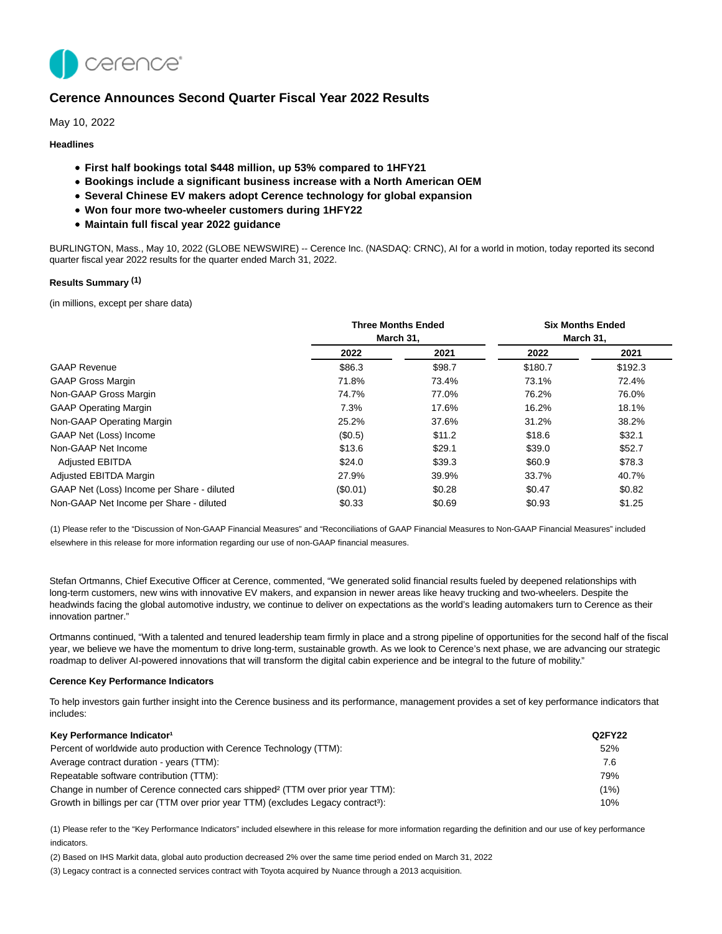

# **Cerence Announces Second Quarter Fiscal Year 2022 Results**

May 10, 2022

## **Headlines**

- **First half bookings total \$448 million, up 53% compared to 1HFY21**
- **Bookings include a significant business increase with a North American OEM**
- **Several Chinese EV makers adopt Cerence technology for global expansion**
- **Won four more two-wheeler customers during 1HFY22**
- **Maintain full fiscal year 2022 guidance**

BURLINGTON, Mass., May 10, 2022 (GLOBE NEWSWIRE) -- Cerence Inc. (NASDAQ: CRNC), AI for a world in motion, today reported its second quarter fiscal year 2022 results for the quarter ended March 31, 2022.

## **Results Summary (1)**

(in millions, except per share data)

|                                            |           | <b>Six Months Ended</b> |         |           |
|--------------------------------------------|-----------|-------------------------|---------|-----------|
|                                            | March 31. |                         |         | March 31. |
|                                            | 2022      | 2021                    | 2022    | 2021      |
| <b>GAAP Revenue</b>                        | \$86.3    | \$98.7                  | \$180.7 | \$192.3   |
| <b>GAAP Gross Margin</b>                   | 71.8%     | 73.4%                   | 73.1%   | 72.4%     |
| Non-GAAP Gross Margin                      | 74.7%     | 77.0%                   | 76.2%   | 76.0%     |
| <b>GAAP Operating Margin</b>               | 7.3%      | 17.6%                   | 16.2%   | 18.1%     |
| Non-GAAP Operating Margin                  | 25.2%     | 37.6%                   | 31.2%   | 38.2%     |
| GAAP Net (Loss) Income                     | (S0.5)    | \$11.2                  | \$18.6  | \$32.1    |
| Non-GAAP Net Income                        | \$13.6    | \$29.1                  | \$39.0  | \$52.7    |
| <b>Adjusted EBITDA</b>                     | \$24.0    | \$39.3                  | \$60.9  | \$78.3    |
| Adjusted EBITDA Margin                     | 27.9%     | 39.9%                   | 33.7%   | 40.7%     |
| GAAP Net (Loss) Income per Share - diluted | (\$0.01)  | \$0.28                  | \$0.47  | \$0.82    |
| Non-GAAP Net Income per Share - diluted    | \$0.33    | \$0.69                  | \$0.93  | \$1.25    |

(1) Please refer to the "Discussion of Non-GAAP Financial Measures" and "Reconciliations of GAAP Financial Measures to Non-GAAP Financial Measures" included elsewhere in this release for more information regarding our use of non-GAAP financial measures.

Stefan Ortmanns, Chief Executive Officer at Cerence, commented, "We generated solid financial results fueled by deepened relationships with long-term customers, new wins with innovative EV makers, and expansion in newer areas like heavy trucking and two-wheelers. Despite the headwinds facing the global automotive industry, we continue to deliver on expectations as the world's leading automakers turn to Cerence as their innovation partner."

Ortmanns continued, "With a talented and tenured leadership team firmly in place and a strong pipeline of opportunities for the second half of the fiscal year, we believe we have the momentum to drive long-term, sustainable growth. As we look to Cerence's next phase, we are advancing our strategic roadmap to deliver AI-powered innovations that will transform the digital cabin experience and be integral to the future of mobility."

### **Cerence Key Performance Indicators**

To help investors gain further insight into the Cerence business and its performance, management provides a set of key performance indicators that includes:

| Key Performance Indicator <sup>1</sup>                                                         | Q2FY22 |
|------------------------------------------------------------------------------------------------|--------|
| Percent of worldwide auto production with Cerence Technology (TTM):                            | 52%    |
| Average contract duration - years (TTM):                                                       | 7.6    |
| Repeatable software contribution (TTM):                                                        | 79%    |
| Change in number of Cerence connected cars shipped <sup>2</sup> (TTM over prior year TTM):     | (1%)   |
| Growth in billings per car (TTM over prior year TTM) (excludes Legacy contract <sup>3</sup> ): | 10%    |

(1) Please refer to the "Key Performance Indicators" included elsewhere in this release for more information regarding the definition and our use of key performance indicators.

(2) Based on IHS Markit data, global auto production decreased 2% over the same time period ended on March 31, 2022

(3) Legacy contract is a connected services contract with Toyota acquired by Nuance through a 2013 acquisition.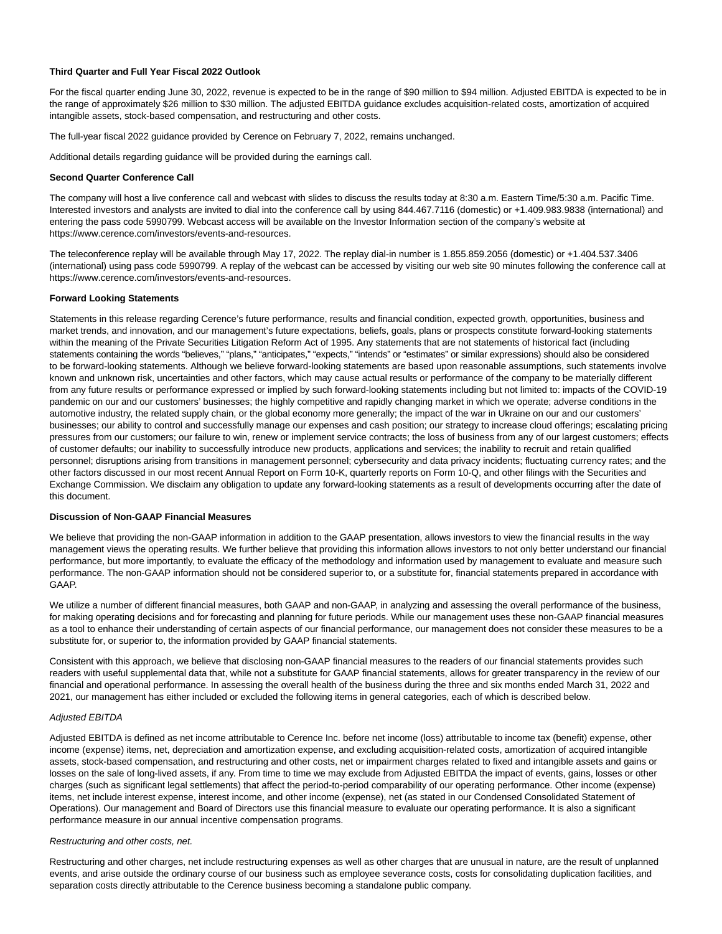## **Third Quarter and Full Year Fiscal 2022 Outlook**

For the fiscal quarter ending June 30, 2022, revenue is expected to be in the range of \$90 million to \$94 million. Adjusted EBITDA is expected to be in the range of approximately \$26 million to \$30 million. The adjusted EBITDA guidance excludes acquisition-related costs, amortization of acquired intangible assets, stock-based compensation, and restructuring and other costs.

The full-year fiscal 2022 guidance provided by Cerence on February 7, 2022, remains unchanged.

Additional details regarding guidance will be provided during the earnings call.

#### **Second Quarter Conference Call**

The company will host a live conference call and webcast with slides to discuss the results today at 8:30 a.m. Eastern Time/5:30 a.m. Pacific Time. Interested investors and analysts are invited to dial into the conference call by using 844.467.7116 (domestic) or +1.409.983.9838 (international) and entering the pass code 5990799. Webcast access will be available on the Investor Information section of the company's website at https://www.cerence.com/investors/events-and-resources.

The teleconference replay will be available through May 17, 2022. The replay dial-in number is 1.855.859.2056 (domestic) or +1.404.537.3406 (international) using pass code 5990799. A replay of the webcast can be accessed by visiting our web site 90 minutes following the conference call at https://www.cerence.com/investors/events-and-resources.

### **Forward Looking Statements**

Statements in this release regarding Cerence's future performance, results and financial condition, expected growth, opportunities, business and market trends, and innovation, and our management's future expectations, beliefs, goals, plans or prospects constitute forward-looking statements within the meaning of the Private Securities Litigation Reform Act of 1995. Any statements that are not statements of historical fact (including statements containing the words "believes," "plans," "anticipates," "expects," "intends" or "estimates" or similar expressions) should also be considered to be forward-looking statements. Although we believe forward-looking statements are based upon reasonable assumptions, such statements involve known and unknown risk, uncertainties and other factors, which may cause actual results or performance of the company to be materially different from any future results or performance expressed or implied by such forward-looking statements including but not limited to: impacts of the COVID-19 pandemic on our and our customers' businesses; the highly competitive and rapidly changing market in which we operate; adverse conditions in the automotive industry, the related supply chain, or the global economy more generally; the impact of the war in Ukraine on our and our customers' businesses; our ability to control and successfully manage our expenses and cash position; our strategy to increase cloud offerings; escalating pricing pressures from our customers; our failure to win, renew or implement service contracts; the loss of business from any of our largest customers; effects of customer defaults; our inability to successfully introduce new products, applications and services; the inability to recruit and retain qualified personnel; disruptions arising from transitions in management personnel; cybersecurity and data privacy incidents; fluctuating currency rates; and the other factors discussed in our most recent Annual Report on Form 10-K, quarterly reports on Form 10-Q, and other filings with the Securities and Exchange Commission. We disclaim any obligation to update any forward-looking statements as a result of developments occurring after the date of this document.

#### **Discussion of Non-GAAP Financial Measures**

We believe that providing the non-GAAP information in addition to the GAAP presentation, allows investors to view the financial results in the way management views the operating results. We further believe that providing this information allows investors to not only better understand our financial performance, but more importantly, to evaluate the efficacy of the methodology and information used by management to evaluate and measure such performance. The non-GAAP information should not be considered superior to, or a substitute for, financial statements prepared in accordance with GAAP.

We utilize a number of different financial measures, both GAAP and non-GAAP, in analyzing and assessing the overall performance of the business, for making operating decisions and for forecasting and planning for future periods. While our management uses these non-GAAP financial measures as a tool to enhance their understanding of certain aspects of our financial performance, our management does not consider these measures to be a substitute for, or superior to, the information provided by GAAP financial statements.

Consistent with this approach, we believe that disclosing non-GAAP financial measures to the readers of our financial statements provides such readers with useful supplemental data that, while not a substitute for GAAP financial statements, allows for greater transparency in the review of our financial and operational performance. In assessing the overall health of the business during the three and six months ended March 31, 2022 and 2021, our management has either included or excluded the following items in general categories, each of which is described below.

### Adjusted EBITDA

Adjusted EBITDA is defined as net income attributable to Cerence Inc. before net income (loss) attributable to income tax (benefit) expense, other income (expense) items, net, depreciation and amortization expense, and excluding acquisition-related costs, amortization of acquired intangible assets, stock-based compensation, and restructuring and other costs, net or impairment charges related to fixed and intangible assets and gains or losses on the sale of long-lived assets, if any. From time to time we may exclude from Adjusted EBITDA the impact of events, gains, losses or other charges (such as significant legal settlements) that affect the period-to-period comparability of our operating performance. Other income (expense) items, net include interest expense, interest income, and other income (expense), net (as stated in our Condensed Consolidated Statement of Operations). Our management and Board of Directors use this financial measure to evaluate our operating performance. It is also a significant performance measure in our annual incentive compensation programs.

#### Restructuring and other costs, net.

Restructuring and other charges, net include restructuring expenses as well as other charges that are unusual in nature, are the result of unplanned events, and arise outside the ordinary course of our business such as employee severance costs, costs for consolidating duplication facilities, and separation costs directly attributable to the Cerence business becoming a standalone public company.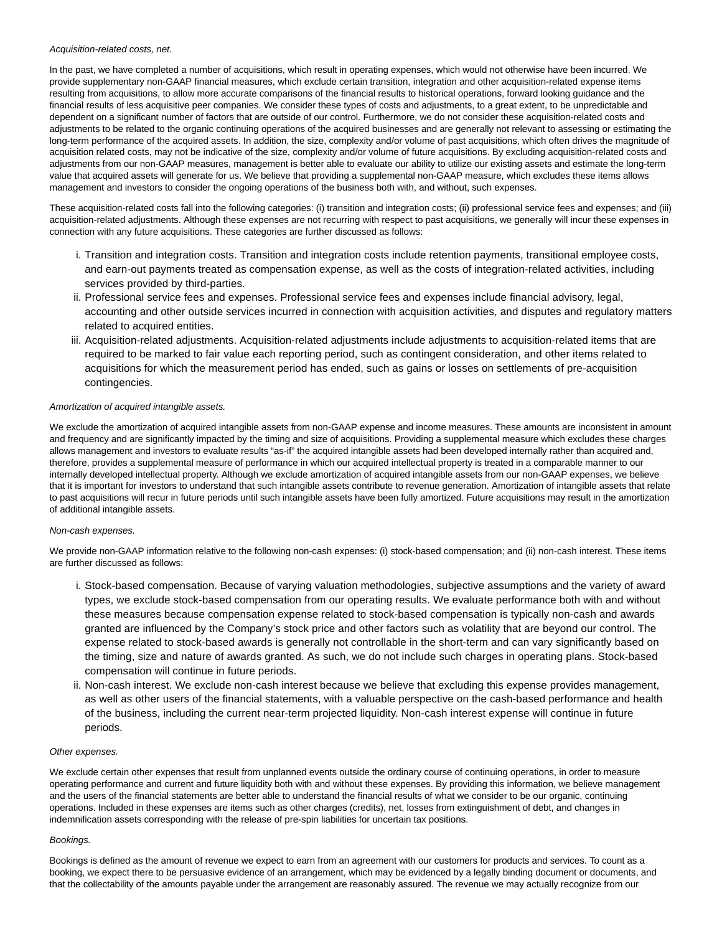### Acquisition-related costs, net.

In the past, we have completed a number of acquisitions, which result in operating expenses, which would not otherwise have been incurred. We provide supplementary non-GAAP financial measures, which exclude certain transition, integration and other acquisition-related expense items resulting from acquisitions, to allow more accurate comparisons of the financial results to historical operations, forward looking guidance and the financial results of less acquisitive peer companies. We consider these types of costs and adjustments, to a great extent, to be unpredictable and dependent on a significant number of factors that are outside of our control. Furthermore, we do not consider these acquisition-related costs and adjustments to be related to the organic continuing operations of the acquired businesses and are generally not relevant to assessing or estimating the long-term performance of the acquired assets. In addition, the size, complexity and/or volume of past acquisitions, which often drives the magnitude of acquisition related costs, may not be indicative of the size, complexity and/or volume of future acquisitions. By excluding acquisition-related costs and adjustments from our non-GAAP measures, management is better able to evaluate our ability to utilize our existing assets and estimate the long-term value that acquired assets will generate for us. We believe that providing a supplemental non-GAAP measure, which excludes these items allows management and investors to consider the ongoing operations of the business both with, and without, such expenses.

These acquisition-related costs fall into the following categories: (i) transition and integration costs; (ii) professional service fees and expenses; and (iii) acquisition-related adjustments. Although these expenses are not recurring with respect to past acquisitions, we generally will incur these expenses in connection with any future acquisitions. These categories are further discussed as follows:

- Transition and integration costs. Transition and integration costs include retention payments, transitional employee costs, i. and earn-out payments treated as compensation expense, as well as the costs of integration-related activities, including services provided by third-parties.
- ii. Professional service fees and expenses. Professional service fees and expenses include financial advisory, legal, accounting and other outside services incurred in connection with acquisition activities, and disputes and regulatory matters related to acquired entities.
- iii. Acquisition-related adjustments. Acquisition-related adjustments include adjustments to acquisition-related items that are required to be marked to fair value each reporting period, such as contingent consideration, and other items related to acquisitions for which the measurement period has ended, such as gains or losses on settlements of pre-acquisition contingencies.

## Amortization of acquired intangible assets.

We exclude the amortization of acquired intangible assets from non-GAAP expense and income measures. These amounts are inconsistent in amount and frequency and are significantly impacted by the timing and size of acquisitions. Providing a supplemental measure which excludes these charges allows management and investors to evaluate results "as-if" the acquired intangible assets had been developed internally rather than acquired and, therefore, provides a supplemental measure of performance in which our acquired intellectual property is treated in a comparable manner to our internally developed intellectual property. Although we exclude amortization of acquired intangible assets from our non-GAAP expenses, we believe that it is important for investors to understand that such intangible assets contribute to revenue generation. Amortization of intangible assets that relate to past acquisitions will recur in future periods until such intangible assets have been fully amortized. Future acquisitions may result in the amortization of additional intangible assets.

### Non-cash expenses.

We provide non-GAAP information relative to the following non-cash expenses: (i) stock-based compensation; and (ii) non-cash interest. These items are further discussed as follows:

- i. Stock-based compensation. Because of varying valuation methodologies, subjective assumptions and the variety of award types, we exclude stock-based compensation from our operating results. We evaluate performance both with and without these measures because compensation expense related to stock-based compensation is typically non-cash and awards granted are influenced by the Company's stock price and other factors such as volatility that are beyond our control. The expense related to stock-based awards is generally not controllable in the short-term and can vary significantly based on the timing, size and nature of awards granted. As such, we do not include such charges in operating plans. Stock-based compensation will continue in future periods.
- ii. Non-cash interest. We exclude non-cash interest because we believe that excluding this expense provides management, as well as other users of the financial statements, with a valuable perspective on the cash-based performance and health of the business, including the current near-term projected liquidity. Non-cash interest expense will continue in future periods.

### Other expenses.

We exclude certain other expenses that result from unplanned events outside the ordinary course of continuing operations, in order to measure operating performance and current and future liquidity both with and without these expenses. By providing this information, we believe management and the users of the financial statements are better able to understand the financial results of what we consider to be our organic, continuing operations. Included in these expenses are items such as other charges (credits), net, losses from extinguishment of debt, and changes in indemnification assets corresponding with the release of pre-spin liabilities for uncertain tax positions.

### Bookings.

Bookings is defined as the amount of revenue we expect to earn from an agreement with our customers for products and services. To count as a booking, we expect there to be persuasive evidence of an arrangement, which may be evidenced by a legally binding document or documents, and that the collectability of the amounts payable under the arrangement are reasonably assured. The revenue we may actually recognize from our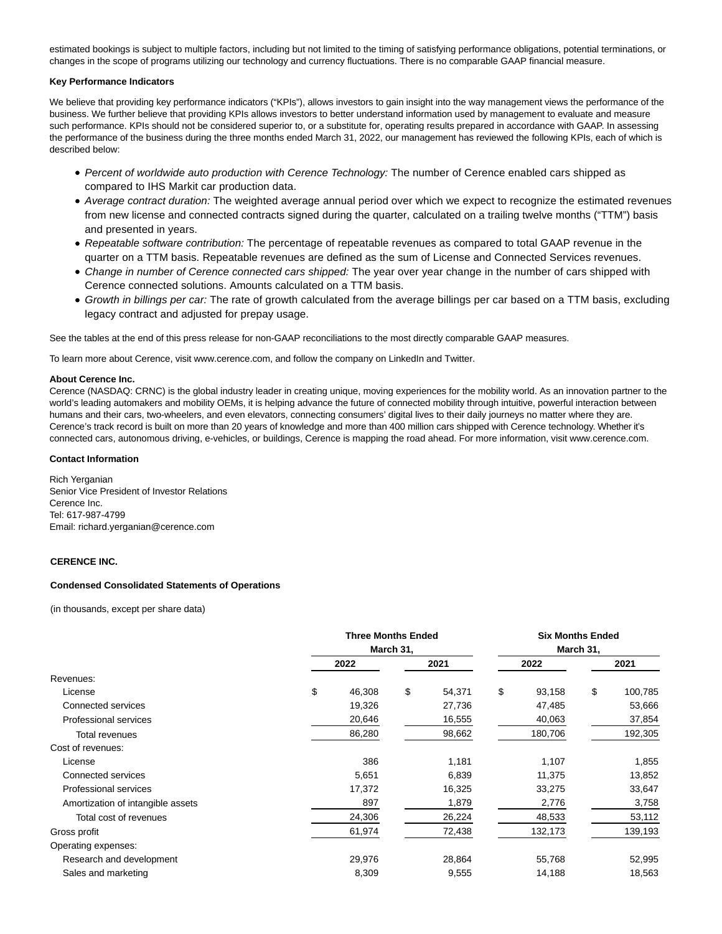estimated bookings is subject to multiple factors, including but not limited to the timing of satisfying performance obligations, potential terminations, or changes in the scope of programs utilizing our technology and currency fluctuations. There is no comparable GAAP financial measure.

## **Key Performance Indicators**

We believe that providing key performance indicators ("KPIs"), allows investors to gain insight into the way management views the performance of the business. We further believe that providing KPIs allows investors to better understand information used by management to evaluate and measure such performance. KPIs should not be considered superior to, or a substitute for, operating results prepared in accordance with GAAP. In assessing the performance of the business during the three months ended March 31, 2022, our management has reviewed the following KPIs, each of which is described below:

- Percent of worldwide auto production with Cerence Technology: The number of Cerence enabled cars shipped as compared to IHS Markit car production data.
- Average contract duration: The weighted average annual period over which we expect to recognize the estimated revenues from new license and connected contracts signed during the quarter, calculated on a trailing twelve months ("TTM") basis and presented in years.
- Repeatable software contribution: The percentage of repeatable revenues as compared to total GAAP revenue in the quarter on a TTM basis. Repeatable revenues are defined as the sum of License and Connected Services revenues.
- Change in number of Cerence connected cars shipped: The year over year change in the number of cars shipped with Cerence connected solutions. Amounts calculated on a TTM basis.
- Growth in billings per car: The rate of growth calculated from the average billings per car based on a TTM basis, excluding legacy contract and adjusted for prepay usage.

See the tables at the end of this press release for non-GAAP reconciliations to the most directly comparable GAAP measures.

To learn more about Cerence, visit www.cerence.com, and follow the company on LinkedIn and Twitter.

## **About Cerence Inc.**

Cerence (NASDAQ: CRNC) is the global industry leader in creating unique, moving experiences for the mobility world. As an innovation partner to the world's leading automakers and mobility OEMs, it is helping advance the future of connected mobility through intuitive, powerful interaction between humans and their cars, two-wheelers, and even elevators, connecting consumers' digital lives to their daily journeys no matter where they are. Cerence's track record is built on more than 20 years of knowledge and more than 400 million cars shipped with Cerence technology. Whether it's connected cars, autonomous driving, e-vehicles, or buildings, Cerence is mapping the road ahead. For more information, visit www.cerence.com.

## **Contact Information**

Rich Yerganian Senior Vice President of Investor Relations Cerence Inc. Tel: 617-987-4799 Email: richard.yerganian@cerence.com

## **CERENCE INC.**

### **Condensed Consolidated Statements of Operations**

(in thousands, except per share data)

|                                   | <b>Three Months Ended</b> |    |        | <b>Six Months Ended</b> |           |    |         |  |
|-----------------------------------|---------------------------|----|--------|-------------------------|-----------|----|---------|--|
|                                   | March 31,                 |    |        |                         | March 31, |    |         |  |
|                                   | 2022                      |    | 2021   |                         | 2022      |    | 2021    |  |
| Revenues:                         |                           |    |        |                         |           |    |         |  |
| License                           | \$<br>46,308              | \$ | 54,371 | \$                      | 93,158    | \$ | 100,785 |  |
| Connected services                | 19,326                    |    | 27,736 |                         | 47,485    |    | 53,666  |  |
| Professional services             | 20,646                    |    | 16,555 |                         | 40,063    |    | 37,854  |  |
| Total revenues                    | 86,280                    |    | 98,662 |                         | 180,706   |    | 192,305 |  |
| Cost of revenues:                 |                           |    |        |                         |           |    |         |  |
| License                           | 386                       |    | 1,181  |                         | 1,107     |    | 1,855   |  |
| Connected services                | 5,651                     |    | 6,839  |                         | 11,375    |    | 13,852  |  |
| Professional services             | 17,372                    |    | 16,325 |                         | 33,275    |    | 33,647  |  |
| Amortization of intangible assets | 897                       |    | 1,879  |                         | 2,776     |    | 3,758   |  |
| Total cost of revenues            | 24,306                    |    | 26,224 |                         | 48,533    |    | 53,112  |  |
| Gross profit                      | 61,974                    |    | 72,438 |                         | 132,173   |    | 139,193 |  |
| Operating expenses:               |                           |    |        |                         |           |    |         |  |
| Research and development          | 29,976                    |    | 28,864 |                         | 55,768    |    | 52,995  |  |
| Sales and marketing               | 8,309                     |    | 9,555  |                         | 14,188    |    | 18,563  |  |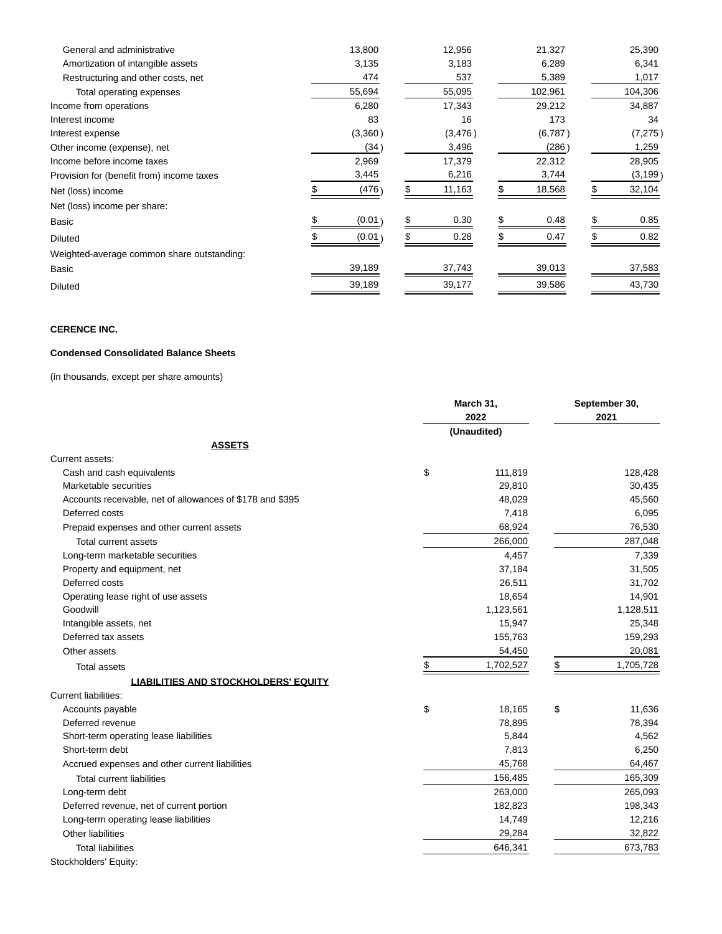| General and administrative                 | 13,800  | 12,956  |   | 21,327  | 25,390   |
|--------------------------------------------|---------|---------|---|---------|----------|
| Amortization of intangible assets          | 3,135   | 3,183   |   | 6,289   | 6,341    |
| Restructuring and other costs, net         | 474     | 537     |   | 5,389   | 1,017    |
| Total operating expenses                   | 55,694  | 55,095  |   | 102,961 | 104,306  |
| Income from operations                     | 6,280   | 17,343  |   | 29,212  | 34,887   |
| Interest income                            | 83      | 16      |   | 173     | 34       |
| Interest expense                           | (3,360) | (3,476) |   | (6,787) | (7, 275) |
| Other income (expense), net                | (34)    | 3,496   |   | (286)   | 1,259    |
| Income before income taxes                 | 2,969   | 17,379  |   | 22,312  | 28,905   |
| Provision for (benefit from) income taxes  | 3,445   | 6,216   |   | 3,744   | (3, 199) |
| Net (loss) income                          | (476)   | 11,163  |   | 18,568  | 32,104   |
| Net (loss) income per share:               |         |         |   |         |          |
| Basic                                      | (0.01)  | 0.30    | S | 0.48    | 0.85     |
| <b>Diluted</b>                             | (0.01)  | 0.28    |   | 0.47    | 0.82     |
| Weighted-average common share outstanding: |         |         |   |         |          |
| Basic                                      | 39,189  | 37,743  |   | 39,013  | 37,583   |
| <b>Diluted</b>                             | 39,189  | 39,177  |   | 39,586  | 43,730   |

# **CERENCE INC.**

## **Condensed Consolidated Balance Sheets**

(in thousands, except per share amounts)

|                                                           | March 31,       | September 30,   |
|-----------------------------------------------------------|-----------------|-----------------|
|                                                           | 2022            | 2021            |
|                                                           | (Unaudited)     |                 |
| <b>ASSETS</b>                                             |                 |                 |
| Current assets:                                           |                 |                 |
| Cash and cash equivalents                                 | \$<br>111,819   | 128,428         |
| Marketable securities                                     | 29,810          | 30,435          |
| Accounts receivable, net of allowances of \$178 and \$395 | 48,029          | 45,560          |
| Deferred costs                                            | 7,418           | 6,095           |
| Prepaid expenses and other current assets                 | 68,924          | 76,530          |
| <b>Total current assets</b>                               | 266,000         | 287,048         |
| Long-term marketable securities                           | 4,457           | 7,339           |
| Property and equipment, net                               | 37,184          | 31,505          |
| Deferred costs                                            | 26,511          | 31,702          |
| Operating lease right of use assets                       | 18,654          | 14,901          |
| Goodwill                                                  | 1,123,561       | 1,128,511       |
| Intangible assets, net                                    | 15,947          | 25,348          |
| Deferred tax assets                                       | 155,763         | 159,293         |
| Other assets                                              | 54,450          | 20,081          |
| <b>Total assets</b>                                       | \$<br>1,702,527 | \$<br>1,705,728 |
| <b>LIABILITIES AND STOCKHOLDERS' EQUITY</b>               |                 |                 |
| <b>Current liabilities:</b>                               |                 |                 |
| Accounts payable                                          | \$<br>18,165    | \$<br>11,636    |
| Deferred revenue                                          | 78,895          | 78,394          |
| Short-term operating lease liabilities                    | 5,844           | 4,562           |
| Short-term debt                                           | 7,813           | 6,250           |
| Accrued expenses and other current liabilities            | 45,768          | 64,467          |
| Total current liabilities                                 | 156,485         | 165,309         |
| Long-term debt                                            | 263,000         | 265,093         |
| Deferred revenue, net of current portion                  | 182,823         | 198,343         |
| Long-term operating lease liabilities                     | 14,749          | 12,216          |
| <b>Other liabilities</b>                                  | 29,284          | 32,822          |
| <b>Total liabilities</b>                                  | 646,341         | 673,783         |
| Stockholders' Equity:                                     |                 |                 |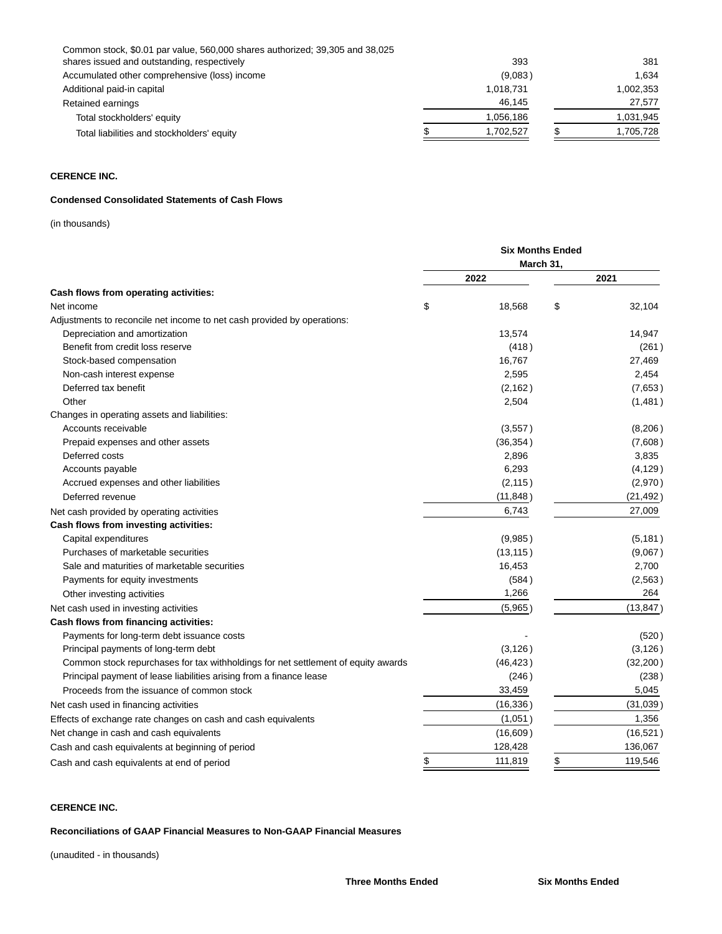| Common stock, \$0.01 par value, 560,000 shares authorized; 39,305 and 38,025 |           |           |
|------------------------------------------------------------------------------|-----------|-----------|
| shares issued and outstanding, respectively                                  | 393       | 381       |
| Accumulated other comprehensive (loss) income                                | (9,083)   | 1.634     |
| Additional paid-in capital                                                   | 1,018,731 | 1,002,353 |
| Retained earnings                                                            | 46.145    | 27.577    |
| Total stockholders' equity                                                   | 1.056.186 | 1,031,945 |
| Total liabilities and stockholders' equity                                   | 1.702.527 | 1.705.728 |
|                                                                              |           |           |

# **CERENCE INC.**

## **Condensed Consolidated Statements of Cash Flows**

(in thousands)

|                                                                                   | <b>Six Months Ended</b> |           |    |           |  |  |
|-----------------------------------------------------------------------------------|-------------------------|-----------|----|-----------|--|--|
|                                                                                   |                         | March 31, |    |           |  |  |
|                                                                                   |                         | 2022      |    | 2021      |  |  |
| Cash flows from operating activities:                                             |                         |           |    |           |  |  |
| Net income                                                                        | \$                      | 18,568    | \$ | 32,104    |  |  |
| Adjustments to reconcile net income to net cash provided by operations:           |                         |           |    |           |  |  |
| Depreciation and amortization                                                     |                         | 13,574    |    | 14,947    |  |  |
| Benefit from credit loss reserve                                                  |                         | (418)     |    | (261)     |  |  |
| Stock-based compensation                                                          |                         | 16,767    |    | 27,469    |  |  |
| Non-cash interest expense                                                         |                         | 2,595     |    | 2,454     |  |  |
| Deferred tax benefit                                                              |                         | (2, 162)  |    | (7,653)   |  |  |
| Other                                                                             |                         | 2,504     |    | (1,481)   |  |  |
| Changes in operating assets and liabilities:                                      |                         |           |    |           |  |  |
| Accounts receivable                                                               |                         | (3,557)   |    | (8,206)   |  |  |
| Prepaid expenses and other assets                                                 |                         | (36, 354) |    | (7,608)   |  |  |
| Deferred costs                                                                    |                         | 2,896     |    | 3,835     |  |  |
| Accounts payable                                                                  |                         | 6,293     |    | (4, 129)  |  |  |
| Accrued expenses and other liabilities                                            |                         | (2, 115)  |    | (2,970)   |  |  |
| Deferred revenue                                                                  |                         | (11, 848) |    | (21, 492) |  |  |
| Net cash provided by operating activities                                         |                         | 6,743     |    | 27,009    |  |  |
| Cash flows from investing activities:                                             |                         |           |    |           |  |  |
| Capital expenditures                                                              |                         | (9,985)   |    | (5, 181)  |  |  |
| Purchases of marketable securities                                                |                         | (13, 115) |    | (9,067)   |  |  |
| Sale and maturities of marketable securities                                      |                         | 16,453    |    | 2,700     |  |  |
| Payments for equity investments                                                   |                         | (584)     |    | (2, 563)  |  |  |
| Other investing activities                                                        |                         | 1,266     |    | 264       |  |  |
| Net cash used in investing activities                                             |                         | (5,965)   |    | (13, 847) |  |  |
| Cash flows from financing activities:                                             |                         |           |    |           |  |  |
| Payments for long-term debt issuance costs                                        |                         |           |    | (520)     |  |  |
| Principal payments of long-term debt                                              |                         | (3, 126)  |    | (3, 126)  |  |  |
| Common stock repurchases for tax withholdings for net settlement of equity awards |                         | (46, 423) |    | (32, 200) |  |  |
| Principal payment of lease liabilities arising from a finance lease               |                         | (246)     |    | (238)     |  |  |
| Proceeds from the issuance of common stock                                        |                         | 33,459    |    | 5,045     |  |  |
| Net cash used in financing activities                                             |                         | (16, 336) |    | (31,039)  |  |  |
| Effects of exchange rate changes on cash and cash equivalents                     |                         | (1,051)   |    | 1,356     |  |  |
| Net change in cash and cash equivalents                                           |                         | (16,609)  |    | (16, 521) |  |  |
| Cash and cash equivalents at beginning of period                                  |                         | 128,428   |    | 136,067   |  |  |
| Cash and cash equivalents at end of period                                        | \$                      | 111,819   | \$ | 119,546   |  |  |
|                                                                                   |                         |           |    |           |  |  |

# **CERENCE INC.**

## **Reconciliations of GAAP Financial Measures to Non-GAAP Financial Measures**

(unaudited - in thousands)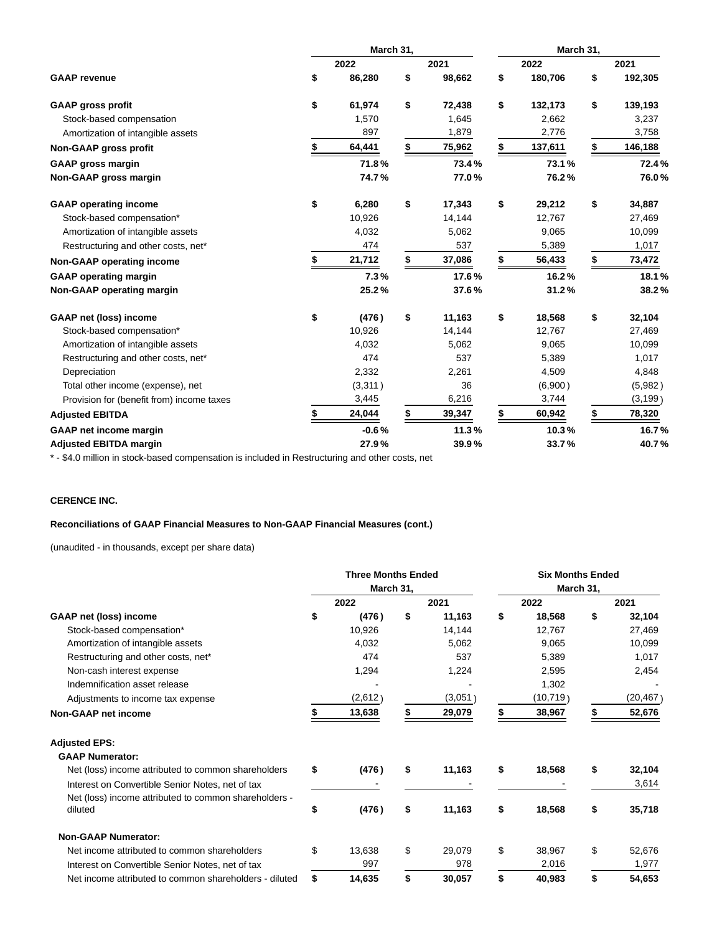|                                           | March 31, |         |    |        |    | March 31, |    |          |  |
|-------------------------------------------|-----------|---------|----|--------|----|-----------|----|----------|--|
|                                           |           | 2022    |    | 2021   |    | 2022      |    | 2021     |  |
| <b>GAAP</b> revenue                       | \$        | 86,280  | \$ | 98,662 | \$ | 180,706   | \$ | 192,305  |  |
| <b>GAAP gross profit</b>                  | \$        | 61,974  | \$ | 72,438 | \$ | 132,173   | \$ | 139,193  |  |
| Stock-based compensation                  |           | 1,570   |    | 1,645  |    | 2,662     |    | 3,237    |  |
| Amortization of intangible assets         |           | 897     |    | 1,879  |    | 2,776     |    | 3,758    |  |
| Non-GAAP gross profit                     | \$        | 64,441  | \$ | 75,962 | \$ | 137,611   | \$ | 146,188  |  |
| <b>GAAP gross margin</b>                  |           | 71.8%   |    | 73.4%  |    | 73.1%     |    | 72.4%    |  |
| Non-GAAP gross margin                     |           | 74.7%   |    | 77.0%  |    | 76.2%     |    | 76.0%    |  |
| <b>GAAP</b> operating income              | \$        | 6,280   | \$ | 17,343 | \$ | 29,212    | \$ | 34,887   |  |
| Stock-based compensation*                 |           | 10,926  |    | 14,144 |    | 12,767    |    | 27,469   |  |
| Amortization of intangible assets         |           | 4,032   |    | 5,062  |    | 9,065     |    | 10,099   |  |
| Restructuring and other costs, net*       |           | 474     |    | 537    |    | 5,389     |    | 1,017    |  |
| Non-GAAP operating income                 |           | 21,712  |    | 37,086 | S  | 56,433    | \$ | 73,472   |  |
| <b>GAAP operating margin</b>              |           | 7.3%    |    | 17.6%  |    | 16.2%     |    | 18.1%    |  |
| Non-GAAP operating margin                 |           | 25.2%   |    | 37.6%  |    | 31.2%     |    | 38.2%    |  |
| <b>GAAP net (loss) income</b>             | \$        | (476)   | \$ | 11,163 | \$ | 18,568    | \$ | 32,104   |  |
| Stock-based compensation*                 |           | 10,926  |    | 14,144 |    | 12,767    |    | 27,469   |  |
| Amortization of intangible assets         |           | 4,032   |    | 5,062  |    | 9,065     |    | 10,099   |  |
| Restructuring and other costs, net*       |           | 474     |    | 537    |    | 5,389     |    | 1,017    |  |
| Depreciation                              |           | 2,332   |    | 2,261  |    | 4,509     |    | 4,848    |  |
| Total other income (expense), net         |           | (3,311) |    | 36     |    | (6,900)   |    | (5,982)  |  |
| Provision for (benefit from) income taxes |           | 3,445   |    | 6,216  |    | 3,744     |    | (3, 199) |  |
| <b>Adjusted EBITDA</b>                    | \$        | 24,044  |    | 39,347 | \$ | 60,942    | \$ | 78,320   |  |
| <b>GAAP</b> net income margin             |           | $-0.6%$ |    | 11.3%  |    | 10.3%     |    | 16.7%    |  |
| <b>Adjusted EBITDA margin</b>             |           | 27.9%   |    | 39.9%  |    | 33.7%     |    | 40.7%    |  |

\* - \$4.0 million in stock-based compensation is included in Restructuring and other costs, net

# **CERENCE INC.**

## **Reconciliations of GAAP Financial Measures to Non-GAAP Financial Measures (cont.)**

(unaudited - in thousands, except per share data)

|                                                        | <b>Three Months Ended</b> |           |    |         | <b>Six Months Ended</b> |           |    |           |  |
|--------------------------------------------------------|---------------------------|-----------|----|---------|-------------------------|-----------|----|-----------|--|
|                                                        |                           | March 31, |    |         | March 31,               |           |    |           |  |
|                                                        |                           | 2022      |    | 2021    |                         | 2022      |    | 2021      |  |
| <b>GAAP net (loss) income</b>                          | \$                        | (476)     | \$ | 11,163  | \$                      | 18,568    | \$ | 32,104    |  |
| Stock-based compensation*                              |                           | 10,926    |    | 14,144  |                         | 12,767    |    | 27,469    |  |
| Amortization of intangible assets                      |                           | 4,032     |    | 5,062   |                         | 9,065     |    | 10,099    |  |
| Restructuring and other costs, net*                    |                           | 474       |    | 537     |                         | 5,389     |    | 1,017     |  |
| Non-cash interest expense                              |                           | 1,294     |    | 1,224   |                         | 2,595     |    | 2,454     |  |
| Indemnification asset release                          |                           |           |    |         |                         | 1,302     |    |           |  |
| Adjustments to income tax expense                      |                           | (2,612)   |    | (3,051) |                         | (10, 719) |    | (20,467 ) |  |
| <b>Non-GAAP net income</b>                             |                           | 13,638    |    | 29,079  |                         | 38,967    |    | 52,676    |  |
| <b>Adjusted EPS:</b>                                   |                           |           |    |         |                         |           |    |           |  |
| <b>GAAP Numerator:</b>                                 |                           |           |    |         |                         |           |    |           |  |
| Net (loss) income attributed to common shareholders    | \$                        | (476)     | \$ | 11,163  | \$                      | 18,568    | \$ | 32,104    |  |
| Interest on Convertible Senior Notes, net of tax       |                           |           |    |         |                         |           |    | 3,614     |  |
| Net (loss) income attributed to common shareholders -  |                           |           |    |         |                         |           |    |           |  |
| diluted                                                | \$                        | (476)     | \$ | 11,163  | \$                      | 18,568    | \$ | 35,718    |  |
| <b>Non-GAAP Numerator:</b>                             |                           |           |    |         |                         |           |    |           |  |
| Net income attributed to common shareholders           | \$                        | 13,638    | \$ | 29.079  | \$                      | 38,967    | \$ | 52,676    |  |
| Interest on Convertible Senior Notes, net of tax       |                           | 997       |    | 978     |                         | 2,016     |    | 1,977     |  |
| Net income attributed to common shareholders - diluted | \$                        | 14,635    | \$ | 30,057  | \$                      | 40,983    | \$ | 54,653    |  |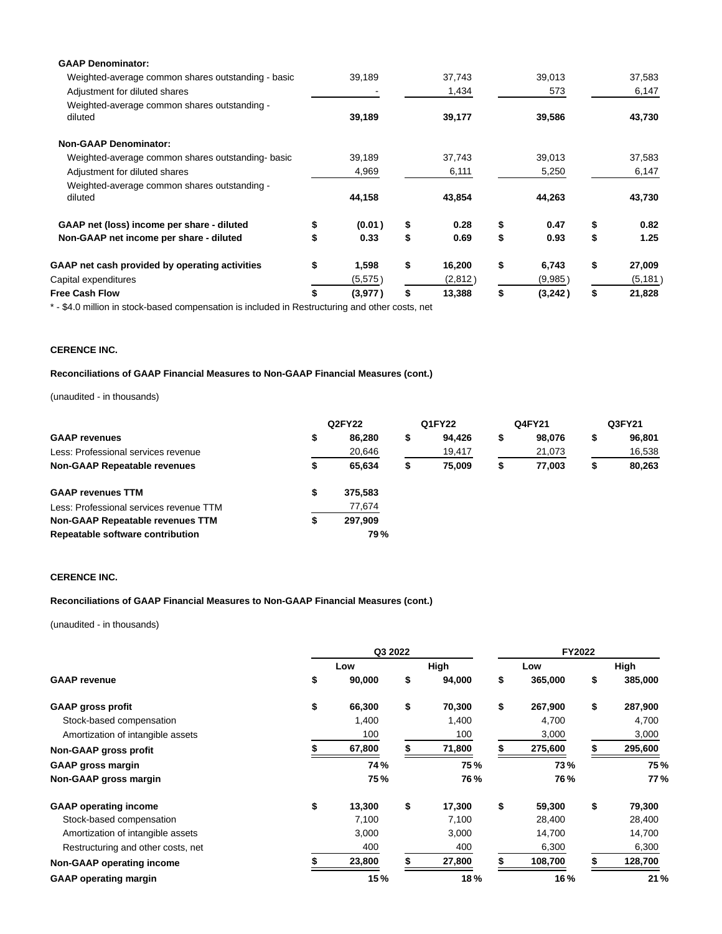| 39,189        | 37,743       | 39,013        | 37,583       |
|---------------|--------------|---------------|--------------|
|               | 1,434        | 573           | 6,147        |
|               |              |               |              |
| 39,189        | 39,177       | 39,586        | 43,730       |
|               |              |               |              |
| 39,189        | 37,743       | 39,013        | 37,583       |
| 4,969         | 6,111        | 5,250         | 6,147        |
|               |              |               |              |
| 44,158        | 43,854       | 44,263        | 43,730       |
| \$<br>(0.01)  | \$<br>0.28   | \$<br>0.47    | \$<br>0.82   |
| \$<br>0.33    | \$<br>0.69   | \$<br>0.93    | \$<br>1.25   |
| \$<br>1,598   | \$<br>16,200 | \$<br>6,743   | \$<br>27,009 |
| (5,575)       | (2,812)      | (9,985)       | (5, 181)     |
| \$<br>(3,977) | \$<br>13,388 | \$<br>(3,242) | \$<br>21,828 |
|               |              |               |              |

\* - \$4.0 million in stock-based compensation is included in Restructuring and other costs, net

## **CERENCE INC.**

## **Reconciliations of GAAP Financial Measures to Non-GAAP Financial Measures (cont.)**

(unaudited - in thousands)

|                                         | Q2FY22 |            | Q1FY22 |        | Q4FY21 |        | Q3FY21 |        |
|-----------------------------------------|--------|------------|--------|--------|--------|--------|--------|--------|
| <b>GAAP revenues</b>                    | \$     | 86.280     | \$     | 94.426 |        | 98,076 | S      | 96,801 |
| Less: Professional services revenue     |        | 20,646     |        | 19,417 |        | 21,073 |        | 16,538 |
| <b>Non-GAAP Repeatable revenues</b>     | \$     | 65.634     | \$     | 75.009 |        | 77.003 | S      | 80,263 |
| <b>GAAP revenues TTM</b>                | \$     | 375.583    |        |        |        |        |        |        |
| Less: Professional services revenue TTM |        | 77,674     |        |        |        |        |        |        |
| Non-GAAP Repeatable revenues TTM        | \$     | 297.909    |        |        |        |        |        |        |
| Repeatable software contribution        |        | <b>79%</b> |        |        |        |        |        |        |

# **CERENCE INC.**

## **Reconciliations of GAAP Financial Measures to Non-GAAP Financial Measures (cont.)**

(unaudited - in thousands)

|                                    | Q3 2022 |            |    |            |    | FY2022  |    |         |  |
|------------------------------------|---------|------------|----|------------|----|---------|----|---------|--|
|                                    |         | Low        |    | High       |    | Low     |    | High    |  |
| <b>GAAP</b> revenue                | \$      | 90,000     | \$ | 94,000     | \$ | 365,000 | \$ | 385,000 |  |
| <b>GAAP gross profit</b>           | \$      | 66,300     | \$ | 70,300     | \$ | 267,900 | \$ | 287,900 |  |
| Stock-based compensation           |         | 1,400      |    | 1,400      |    | 4,700   |    | 4,700   |  |
| Amortization of intangible assets  |         | 100        |    | 100        |    | 3,000   |    | 3,000   |  |
| Non-GAAP gross profit              |         | 67,800     |    | 71,800     |    | 275,600 |    | 295,600 |  |
| <b>GAAP gross margin</b>           |         | 74%        |    | 75%        |    | 73%     |    | 75%     |  |
| Non-GAAP gross margin              |         | <b>75%</b> |    | <b>76%</b> |    | 76%     |    | 77 %    |  |
| <b>GAAP</b> operating income       | \$      | 13,300     | \$ | 17,300     | \$ | 59,300  | \$ | 79,300  |  |
| Stock-based compensation           |         | 7,100      |    | 7,100      |    | 28,400  |    | 28,400  |  |
| Amortization of intangible assets  |         | 3,000      |    | 3,000      |    | 14,700  |    | 14,700  |  |
| Restructuring and other costs, net |         | 400        |    | 400        |    | 6,300   |    | 6,300   |  |
| <b>Non-GAAP operating income</b>   |         | 23,800     |    | 27,800     |    | 108,700 |    | 128,700 |  |
| <b>GAAP</b> operating margin       |         | 15%        |    | 18%        |    | 16%     |    | 21%     |  |